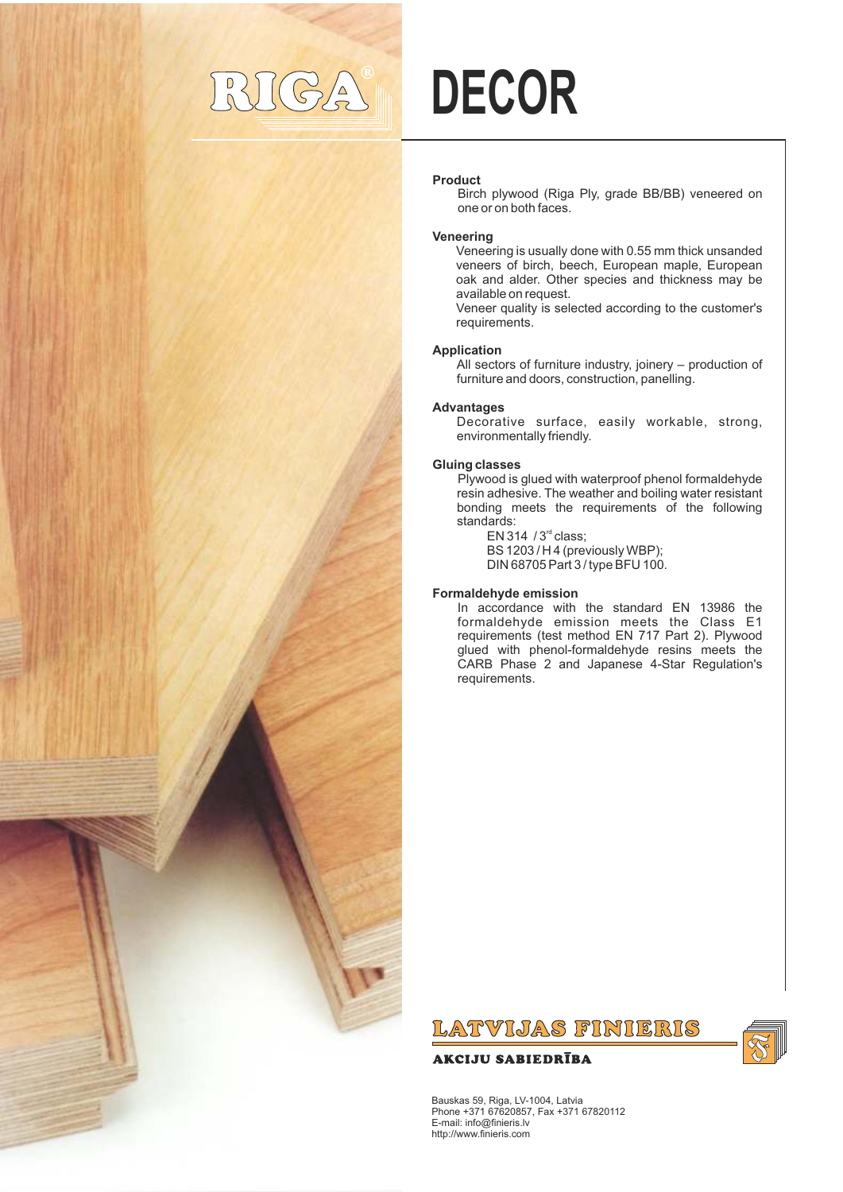## $\triangle$

# **DECOR**

#### **Product**

Birch plywood (Riga Ply, grade BB/BB) veneered on one or on both faces.

#### **Veneering**

Veneering is usually done with 0.55 mm thick unsanded veneers of birch, beech, European maple, European oak and alder. Other species and thickness may be available on request.

Veneer quality is selected according to the customer's requirements.

#### **Application**

All sectors of furniture industry, joinery – production of furniture and doors, construction, panelling.

#### **Advantages**

Decorative surface, easily workable, strong, environmentally friendly.

#### **Gluing classes**

Plywood is glued with waterproof phenol formaldehyde resin adhesive. The weather and boiling water resistant bonding meets the requirements of the following standards:

EN 314  $/$  3<sup>rd</sup> class; BS 1203 / H 4 (previously WBP); DIN 68705 Part 3 / type BFU 100.

#### **Formaldehyde emission**

In accordance with the standard EN 13986 the formaldehyde emission meets the Class E1 requirements (test method EN 717 Part 2). Plywood glued with phenol-formaldehyde resins meets the CARB Phase 2 and Japanese 4-Star Regulation's requirements.

### LATVIJAS FINIERIS

#### **AKCIJU SABIEDRĪBA**



Bauskas 59, Riga, LV-1004, Latvia Phone +371 67620857, Fax +371 67820112 E-mail: info@finieris.lv http://www.finieris.com